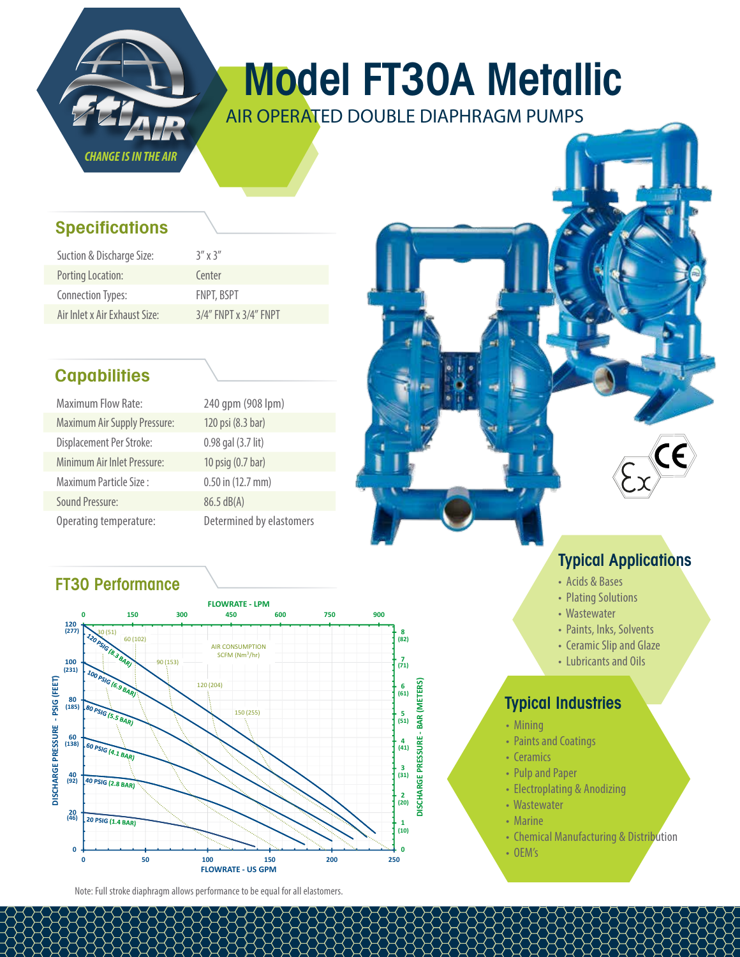

# Model FT30A Metallic

AIR OPERATED DOUBLE DIAPHRAGM PUMPS

## **Specifications**

| Suction & Discharge Size:     | $3''$ x $3''$         |
|-------------------------------|-----------------------|
| Porting Location:             | Center                |
| <b>Connection Types:</b>      | FNPT, BSPT            |
| Air Inlet x Air Exhaust Size: | 3/4" FNPT x 3/4" FNPT |

# **Capabilities**

| <b>Maximum Flow Rate:</b>           | 240 qpm (908 lpm)        |
|-------------------------------------|--------------------------|
| <b>Maximum Air Supply Pressure:</b> | 120 psi (8.3 bar)        |
| Displacement Per Stroke:            | 0.98 gal (3.7 lit)       |
| Minimum Air Inlet Pressure:         | 10 psig (0.7 bar)        |
| Maximum Particle Size:              | 0.50 in (12.7 mm)        |
| <b>Sound Pressure:</b>              | 86.5 dB(A)               |
| Operating temperature:              | Determined by elastomers |

# FT30 Performance



Note: Full stroke diaphragm allows performance to be equal for all elastomers.

# Typical Applications

- Acids & Bases
- Plating Solutions
- Wastewater
- Paints, Inks, Solvents
- Ceramic Slip and Glaze
- Lubricants and Oils

# Typical Industries

- Mining
- Paints and Coatings
- Ceramics
- Pulp and Paper
- Electroplating & Anodizing
- Wastewater
- Marine
- Chemical Manufacturing & Distribution
- OEM's